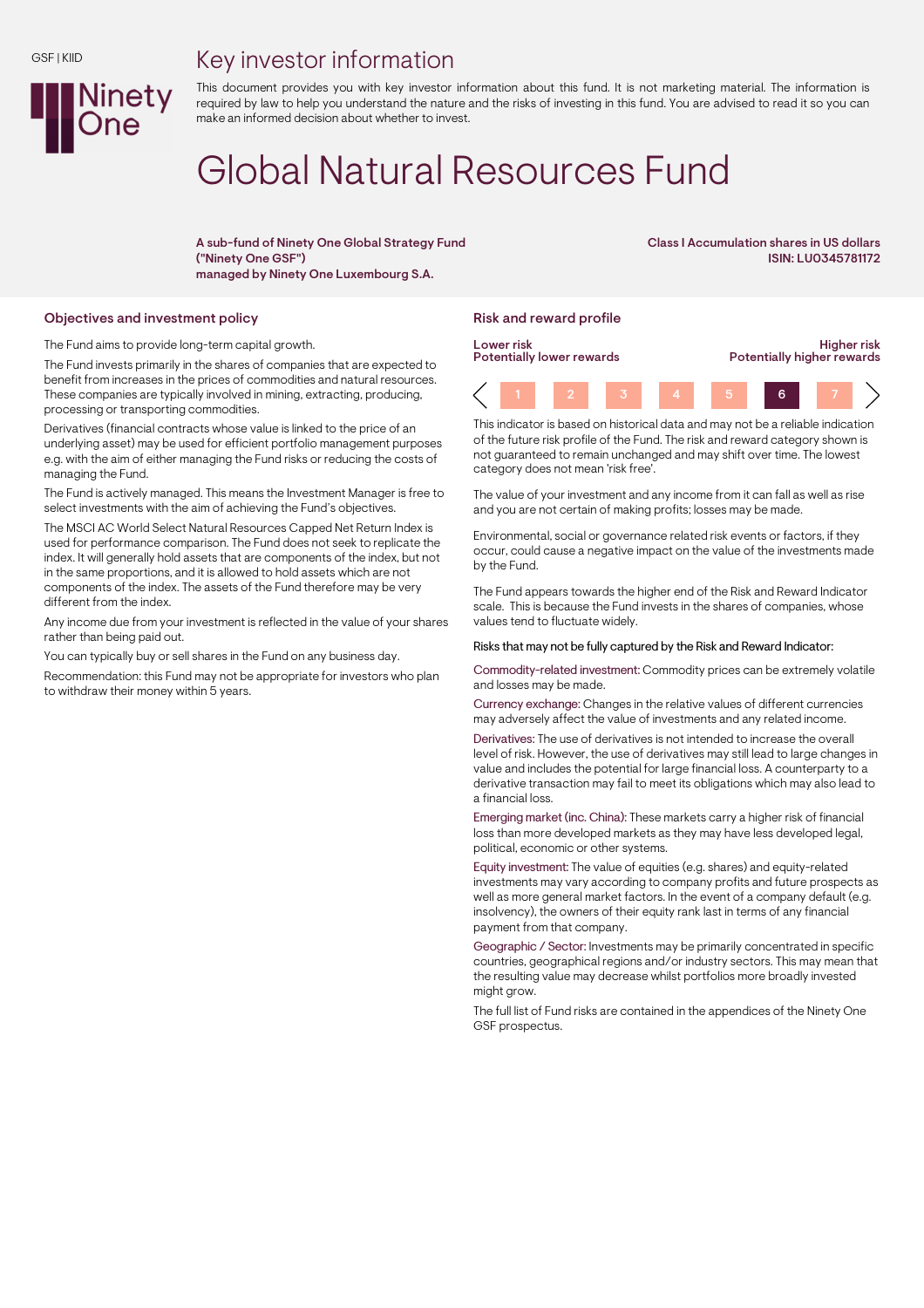## Key investor information



This document provides you with key investor information about this fund. It is not marketing material. The information is required by law to help you understand the nature and the risks of investing in this fund. You are advised to read it so you can make an informed decision about whether to invest.

# Global Natural Resources Fund

A sub-fund of Ninety One Global Strategy Fund ("Ninety One GSF") managed by Ninety One Luxembourg S.A.

Class I Accumulation shares in US dollars ISIN: LU0345781172

#### Objectives and investment policy **Risk and reward profile** Risk and reward profile

The Fund aims to provide long-term capital growth.

The Fund invests primarily in the shares of companies that are expected to benefit from increases in the prices of commodities and natural resources. These companies are typically involved in mining, extracting, producing, processing or transporting commodities.

Derivatives (financial contracts whose value is linked to the price of an underlying asset) may be used for efficient portfolio management purposes e.g. with the aim of either managing the Fund risks or reducing the costs of managing the Fund.

The Fund is actively managed. This means the Investment Manager is free to select investments with the aim of achieving the Fund's objectives.

The MSCI AC World Select Natural Resources Capped Net Return Index is used for performance comparison. The Fund does not seek to replicate the index. It will generally hold assets that are components of the index, but not in the same proportions, and it is allowed to hold assets which are not components of the index. The assets of the Fund therefore may be very different from the index.

Any income due from your investment is reflected in the value of your shares rather than being paid out.

You can typically buy or sell shares in the Fund on any business day.

Recommendation: this Fund may not be appropriate for investors who plan to withdraw their money within 5 years.



This indicator is based on historical data and may not be a reliable indication of the future risk profile of the Fund. The risk and reward category shown is not guaranteed to remain unchanged and may shift over time. The lowest category does not mean 'risk free'.

The value of your investment and any income from it can fall as well as rise and you are not certain of making profits; losses may be made.

Environmental, social or governance related risk events or factors, if they occur, could cause a negative impact on the value of the investments made by the Fund.

The Fund appears towards the higher end of the Risk and Reward Indicator scale. This is because the Fund invests in the shares of companies, whose values tend to fluctuate widely.

#### Risks that may not be fully captured by the Risk and Reward Indicator:

Commodity-related investment: Commodity prices can be extremely volatile and losses may be made.

Currency exchange: Changes in the relative values of different currencies may adversely affect the value of investments and any related income.

Derivatives: The use of derivatives is not intended to increase the overall level of risk. However, the use of derivatives may still lead to large changes in value and includes the potential for large financial loss. A counterparty to a derivative transaction may fail to meet its obligations which may also lead to a financial loss.

Emerging market (inc. China): These markets carry a higher risk of financial loss than more developed markets as they may have less developed legal, political, economic or other systems.

Equity investment: The value of equities (e.g. shares) and equity-related investments may vary according to company profits and future prospects as well as more general market factors. In the event of a company default (e.g. insolvency), the owners of their equity rank last in terms of any financial payment from that company.

Geographic / Sector: Investments may be primarily concentrated in specific countries, geographical regions and/or industry sectors. This may mean that the resulting value may decrease whilst portfolios more broadly invested might grow.

The full list of Fund risks are contained in the appendices of the Ninety One GSF prospectus.